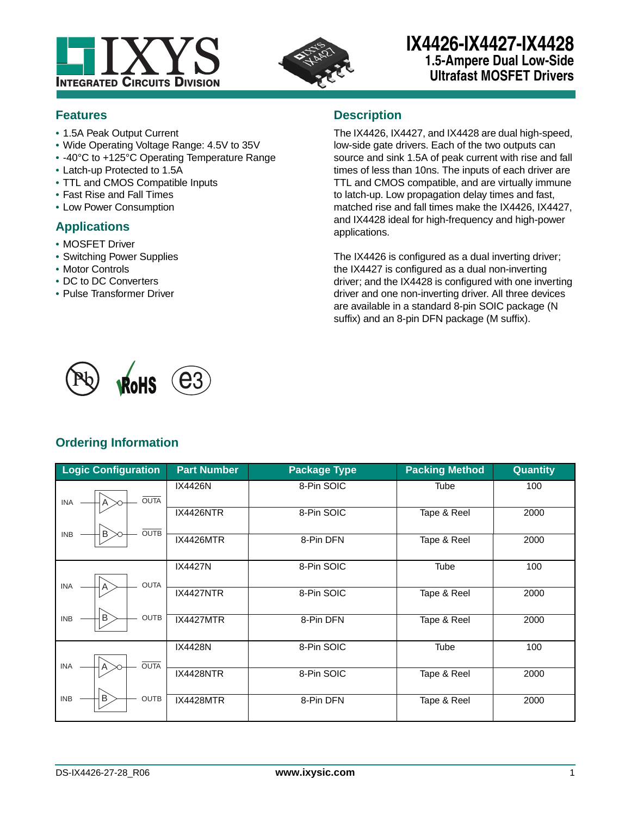



# **IX4426-IX4427-IX4428 1.5-Ampere Dual Low-Side Ultrafast MOSFET Drivers**

## **Features**

- **•** 1.5A Peak Output Current
- **•** Wide Operating Voltage Range: 4.5V to 35V
- **•** -40°C to +125°C Operating Temperature Range
- **•** Latch-up Protected to 1.5A
- **•** TTL and CMOS Compatible Inputs
- **•** Fast Rise and Fall Times
- **•** Low Power Consumption

## **Applications**

- **•** MOSFET Driver
- **•** Switching Power Supplies
- **•** Motor Controls
- **•** DC to DC Converters
- **•** Pulse Transformer Driver

## **Description**

The IX4426, IX4427, and IX4428 are dual high-speed, low-side gate drivers. Each of the two outputs can source and sink 1.5A of peak current with rise and fall times of less than 10ns. The inputs of each driver are TTL and CMOS compatible, and are virtually immune to latch-up. Low propagation delay times and fast, matched rise and fall times make the IX4426, IX4427, and IX4428 ideal for high-frequency and high-power applications.

The IX4426 is configured as a dual inverting driver; the IX4427 is configured as a dual non-inverting driver; and the IX4428 is configured with one inverting driver and one non-inverting driver. All three devices are available in a standard 8-pin SOIC package (N suffix) and an 8-pin DFN package (M suffix).



## **Ordering Information**

| <b>Logic Configuration</b>      | <b>Part Number</b> | <b>Package Type</b> | <b>Packing Method</b> | Quantity |
|---------------------------------|--------------------|---------------------|-----------------------|----------|
| <b>OUTA</b><br><b>INA</b><br>A  | IX4426N            | 8-Pin SOIC          | Tube                  | 100      |
| <b>OUTB</b>                     | <b>IX4426NTR</b>   | 8-Pin SOIC          | Tape & Reel           | 2000     |
| B<br><b>INB</b>                 | <b>IX4426MTR</b>   | 8-Pin DFN           | Tape & Reel           | 2000     |
| <b>OUTA</b><br><b>INA</b><br>Α  | <b>IX4427N</b>     | 8-Pin SOIC          | <b>Tube</b>           | 100      |
|                                 | IX4427NTR          | 8-Pin SOIC          | Tape & Reel           | 2000     |
| B<br><b>OUTB</b><br><b>INB</b>  | <b>IX4427MTR</b>   | 8-Pin DFN           | Tape & Reel           | 2000     |
| <b>OUTA</b><br><b>INA</b><br>Α  | <b>IX4428N</b>     | 8-Pin SOIC          | <b>Tube</b>           | 100      |
|                                 | <b>IX4428NTR</b>   | 8-Pin SOIC          | Tape & Reel           | 2000     |
| B,<br><b>INB</b><br><b>OUTB</b> | <b>IX4428MTR</b>   | 8-Pin DFN           | Tape & Reel           | 2000     |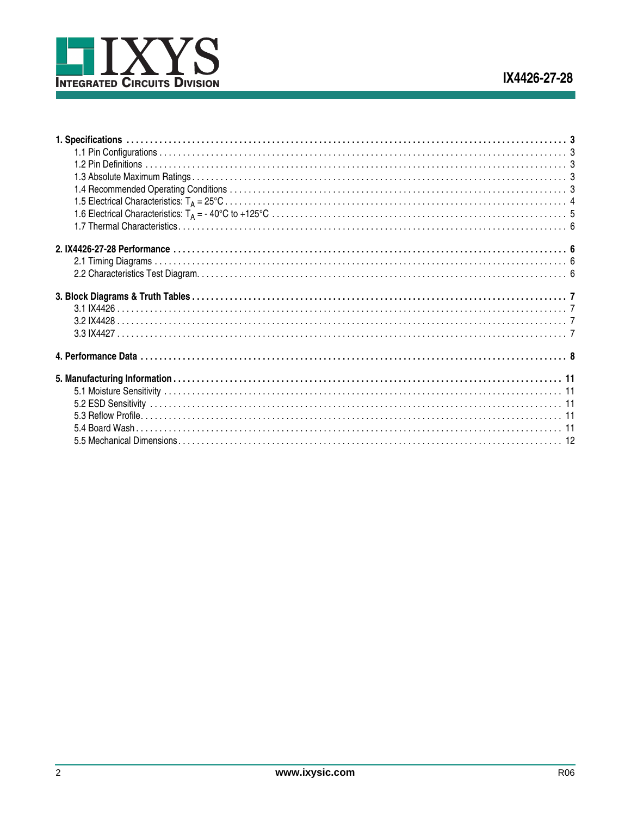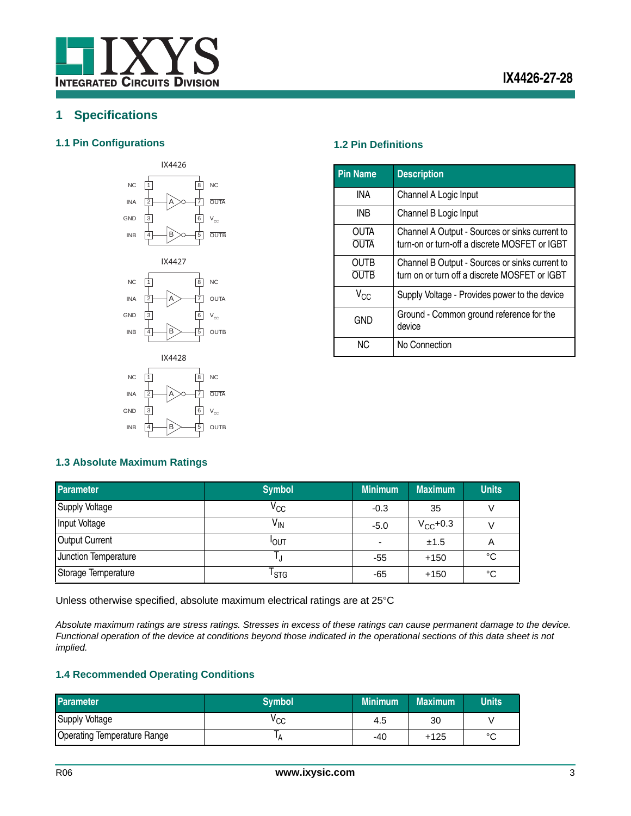

## <span id="page-2-0"></span>**1 Specifications**

#### <span id="page-2-1"></span>**1.1 Pin Configurations 1.2 Pin Definitions**



<span id="page-2-2"></span>

| <b>Pin Name</b>            | <b>Description</b>                                                                              |
|----------------------------|-------------------------------------------------------------------------------------------------|
| INA                        | Channel A Logic Input                                                                           |
| INB                        | Channel B Logic Input                                                                           |
| <b>OUTA</b><br><b>OUTA</b> | Channel A Output - Sources or sinks current to<br>turn-on or turn-off a discrete MOSFET or IGBT |
| OUTB<br><b>OUTR</b>        | Channel B Output - Sources or sinks current to<br>turn on or turn off a discrete MOSFET or IGBT |
| $V_{CC}$                   | Supply Voltage - Provides power to the device                                                   |
| <b>GND</b>                 | Ground - Common ground reference for the<br>device                                              |
| NC.                        | No Connection                                                                                   |

#### <span id="page-2-3"></span>**1.3 Absolute Maximum Ratings**

INB

4

B

| <b>Parameter</b>      | <b>Symbol</b>    | <b>Minimum</b>           | <b>Maximum</b> | <b>Units</b> |
|-----------------------|------------------|--------------------------|----------------|--------------|
| <b>Supply Voltage</b> | $\rm v_{cc}$     | $-0.3$                   | 35             |              |
| Input Voltage         | V <sub>IN</sub>  | $-5.0$                   | $V_{CC}$ +0.3  |              |
| <b>Output Current</b> | <b>I</b> OUT     | $\overline{\phantom{a}}$ | ±1.5           | A            |
| Junction Temperature  |                  | -55                      | $+150$         | °C           |
| Storage Temperature   | <sup>I</sup> STG | -65                      | $+150$         | °C           |

Unless otherwise specified, absolute maximum electrical ratings are at 25°C

OUTB

5

*Absolute maximum ratings are stress ratings. Stresses in excess of these ratings can cause permanent damage to the device. Functional operation of the device at conditions beyond those indicated in the operational sections of this data sheet is not implied.* 

### <span id="page-2-4"></span>**1.4 Recommended Operating Conditions**

| <b>Parameter</b>            | <b>Symbol</b> | <b>Minimum</b> | <b>Maximum</b> | <b>Units</b> |
|-----------------------------|---------------|----------------|----------------|--------------|
| Supply Voltage              | ∨cc           | 4.5            | 30             |              |
| Operating Temperature Range |               | -40            | $+125$         | $\sim$<br>◡  |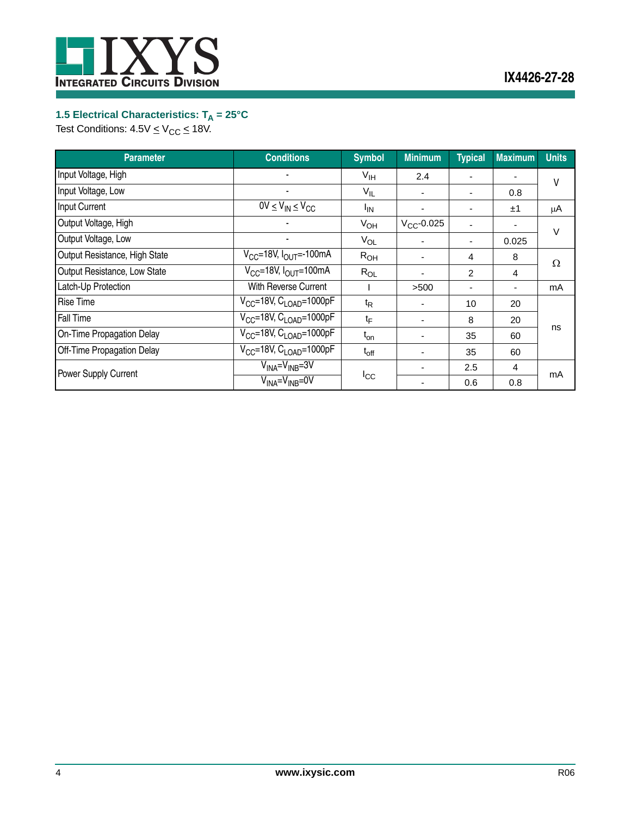

## <span id="page-3-0"></span>1.5 Electrical Characteristics: T<sub>A</sub> = 25°C

Test Conditions:  $4.5 \vee \leq V_{CC} \leq 18 \vee$ .

| <b>Parameter</b>              | <b>Conditions</b>                               | <b>Symbol</b>    | <b>Minimum</b>  | <b>Typical</b> | <b>Maximum</b> | <b>Units</b> |
|-------------------------------|-------------------------------------------------|------------------|-----------------|----------------|----------------|--------------|
| Input Voltage, High           |                                                 | $V_{\text{IH}}$  | 2.4             |                |                | ۷            |
| Input Voltage, Low            | ۰                                               | $V_{IL}$         | ٠               |                | 0.8            |              |
| Input Current                 | $\overline{OV}$ $\leq$ $V_{IN}$ $\leq$ $V_{CC}$ | <sup>I</sup> IN  | ٠               |                | ±1             | μA           |
| Output Voltage, High          |                                                 | $V_{OH}$         | $V_{CC}$ -0.025 |                | ٠              | V            |
| Output Voltage, Low           |                                                 | $V_{OL}$         |                 |                | 0.025          |              |
| Output Resistance, High State | $V_{CC}$ =18V, $I_{OUT}$ =-100mA                | $R_{OH}$         | ۰               | 4              | 8              | Ω            |
| Output Resistance, Low State  | $V_{CC}$ =18V, $I_{OUT}$ =100mA                 | $R_{OL}$         | -               | $\overline{2}$ | 4              |              |
| Latch-Up Protection           | With Reverse Current                            |                  | >500            |                | ٠              | mA           |
| <b>Rise Time</b>              | $V_{CC}$ =18V, $C_{LOAD}$ =1000pF               | $t_{\mathsf{R}}$ |                 | 10             | 20             |              |
| <b>Fall Time</b>              | $V_{CC}$ =18V, $C_{LOAD}$ =1000pF               | $t_{\mathsf{F}}$ |                 | 8              | 20             |              |
| On-Time Propagation Delay     | $V_{CC}$ =18V, $C_{LOAD}$ =1000pF               | $t_{on}$         |                 | 35             | 60             | ns           |
| Off-Time Propagation Delay    | $V_{CC}$ =18V, $C_{LOAD}$ =1000pF               | $t_{off}$        |                 | 35             | 60             |              |
| Power Supply Current          | $V_{INA} = V_{INB} = 3V$                        |                  |                 | 2.5            | 4              | mA           |
|                               | $V_{INA} = V_{INB} = 0V$                        | $I_{\rm CC}$     |                 | 0.6            | 0.8            |              |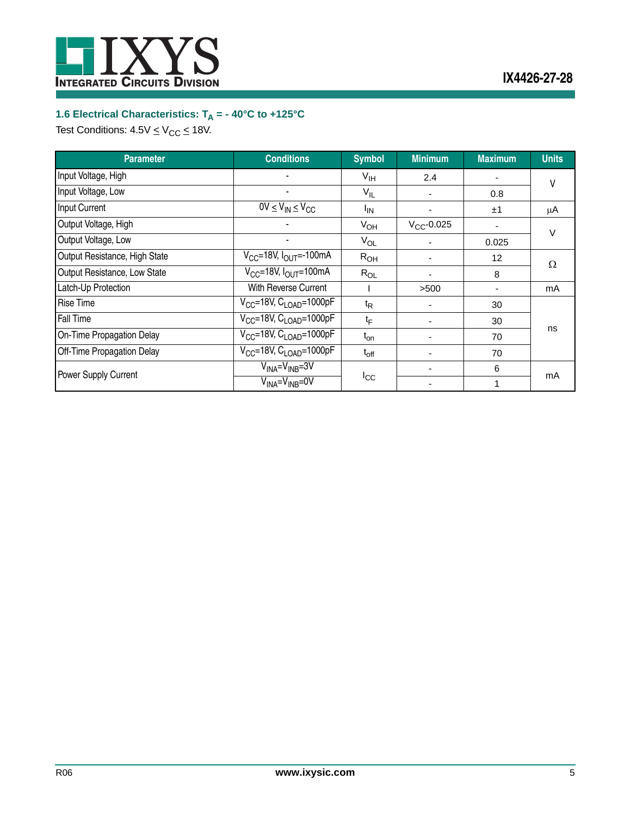

# <span id="page-4-0"></span>**1.6 Electrical Characteristics: T<sub>A</sub> = - 40°C to +125°C**

Test Conditions:  $4.5V \leq V_{CC} \leq 18V$ .

| <b>Parameter</b>              | <b>Conditions</b>                        | <b>Symbol</b>    | <b>Minimum</b>  | <b>Maximum</b> | <b>Units</b> |
|-------------------------------|------------------------------------------|------------------|-----------------|----------------|--------------|
| Input Voltage, High           |                                          | V <sub>IH</sub>  | 2.4             |                | V            |
| Input Voltage, Low            |                                          | $V_{IL}$         |                 | 0.8            |              |
| <b>Input Current</b>          | $0V \leq V_{IN} \leq V_{CC}$             | $I_{IN}$         |                 | ±1             | μA           |
| Output Voltage, High          |                                          | $V_{OH}$         | $V_{CC}$ -0.025 |                | $\vee$       |
| Output Voltage, Low           |                                          | $V_{OL}$         |                 | 0.025          |              |
| Output Resistance, High State | $V_{CC}$ =18V, $I_{OUT}$ =-100mA         | R <sub>OH</sub>  |                 | 12             | Ω            |
| Output Resistance, Low State  | $V_{CC}$ =18V, $I_{OUT}$ =100mA          | $R_{OL}$         |                 | 8              |              |
| Latch-Up Protection           | With Reverse Current                     |                  | >500            |                | mA           |
| <b>Rise Time</b>              | $V_{CC}$ =18V, $C_{LOAD}$ =1000pF        | $t_{\mathsf{R}}$ |                 | 30             |              |
| Fall Time                     | $V_{CC}$ =18V, C <sub>LOAD</sub> =1000pF | $t_{\mathsf{F}}$ |                 | 30             |              |
| On-Time Propagation Delay     | $V_{CC}$ =18V, C <sub>LOAD</sub> =1000pF | $t_{on}$         |                 | 70             | ns           |
| Off-Time Propagation Delay    | $V_{CC}$ =18V, $C_{LOAD}$ =1000pF        | $t_{off}$        |                 | 70             |              |
| <b>Power Supply Current</b>   | $V_{INA} = V_{INB} = 3V$                 |                  |                 | 6              |              |
|                               | $V_{INA} = V_{INB} = 0V$                 | $I_{\rm CC}$     |                 |                | mA           |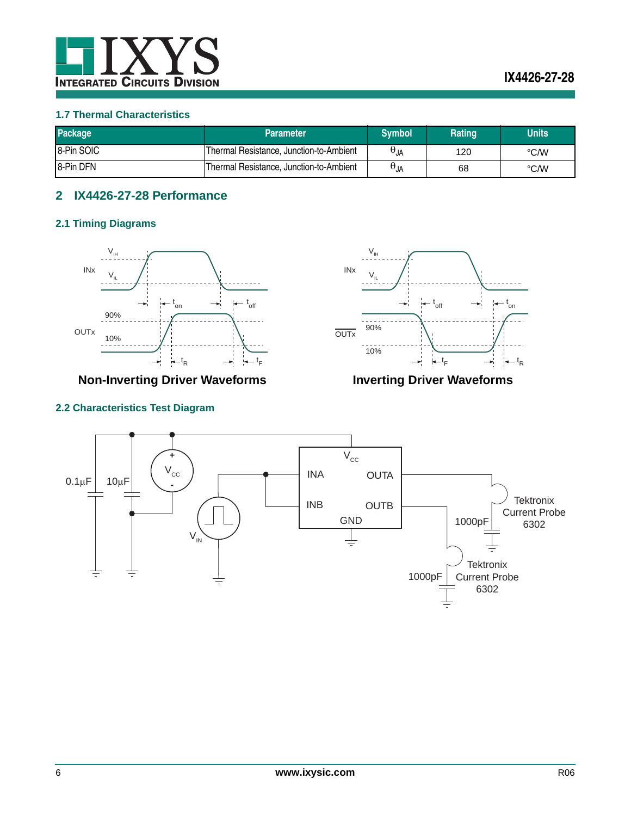

#### <span id="page-5-0"></span>**1.7 Thermal Characteristics**

| <b>Package</b>   | <b>Parameter</b>                         | <b>Svmbol</b>   | Rating | <b>Units</b> |
|------------------|------------------------------------------|-----------------|--------|--------------|
| 8-Pin SOIC       | Thermal Resistance, Junction-to-Ambient  | $\Theta_{JA}$   | 120    | °C/W         |
| <b>8-Pin DFN</b> | 'Thermal Resistance, Junction-to-Ambient | $H_{\text{UA}}$ | 68     | °C/W         |

## <span id="page-5-1"></span>**2 IX4426-27-28 Performance**

#### <span id="page-5-2"></span>**2.1 Timing Diagrams**



**Non-Inverting Driver Waveforms Inverting Driver Waveforms**

## <span id="page-5-3"></span>**2.2 Characteristics Test Diagram**



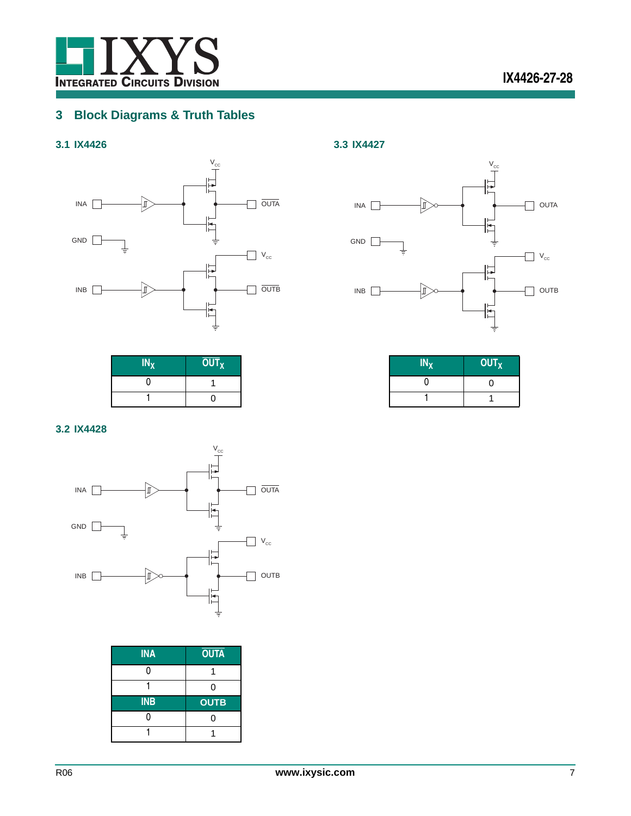

## <span id="page-6-0"></span>**3 Block Diagrams & Truth Tables**

## <span id="page-6-1"></span>**3.1 IX4426**



 $IN_X$  **OUT**<sub>X</sub>

0 1 1 0



**OUT<sub>X</sub>**  $\boldsymbol{0}$ 1 1

<span id="page-6-3"></span>**3.3 IX4427**

#### <span id="page-6-2"></span>**3.2 IX4428**



| <b>INA</b> | <b>OUTA</b> |
|------------|-------------|
| ი          |             |
|            |             |
| <b>INB</b> |             |
|            | <b>OUTB</b> |
|            |             |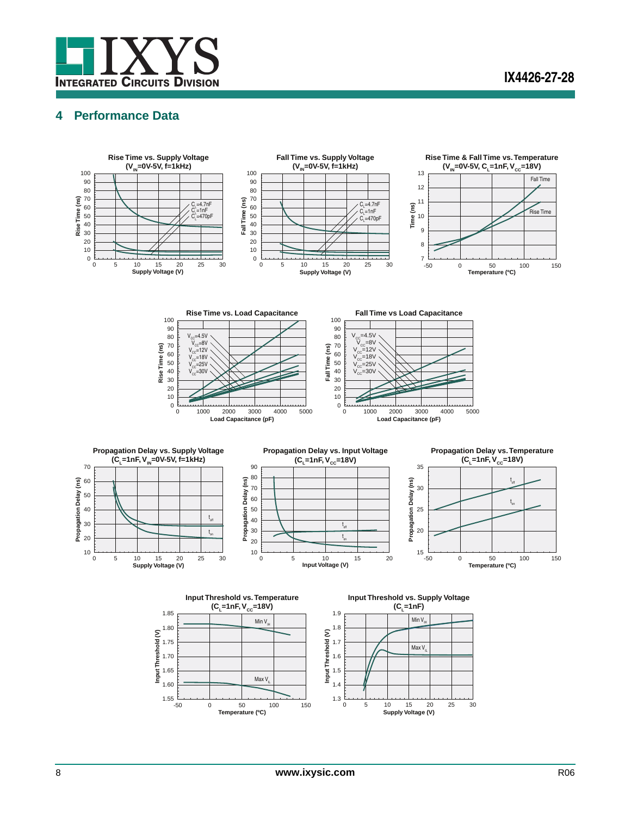

## <span id="page-7-0"></span>**4 Performance Data**

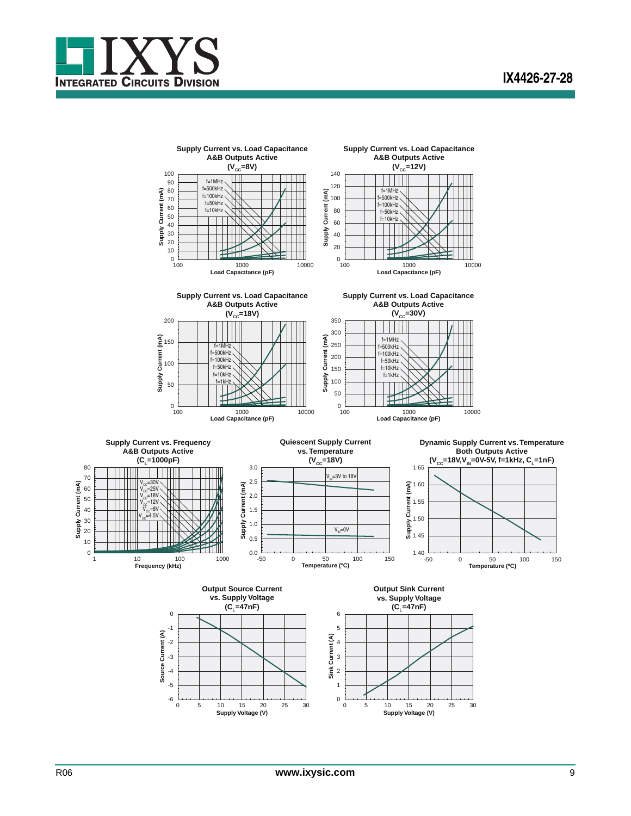

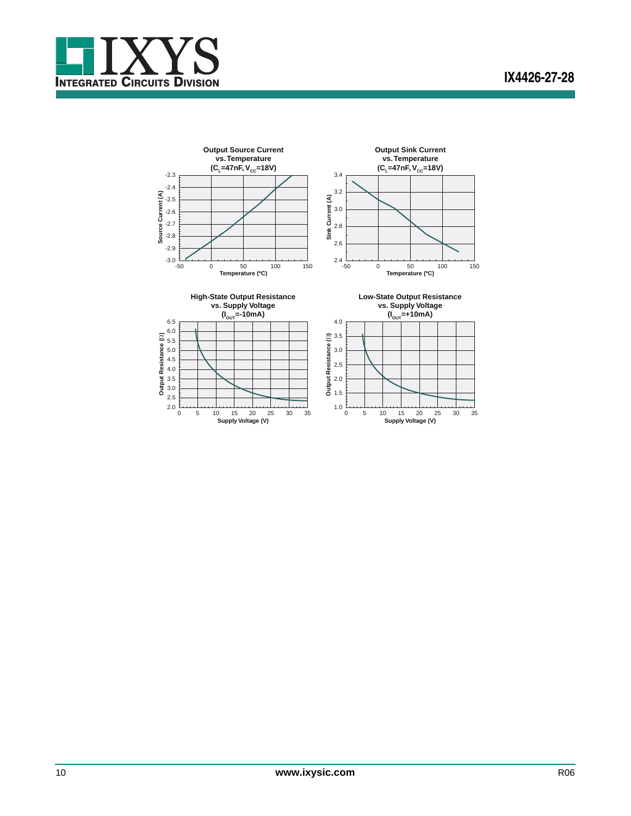

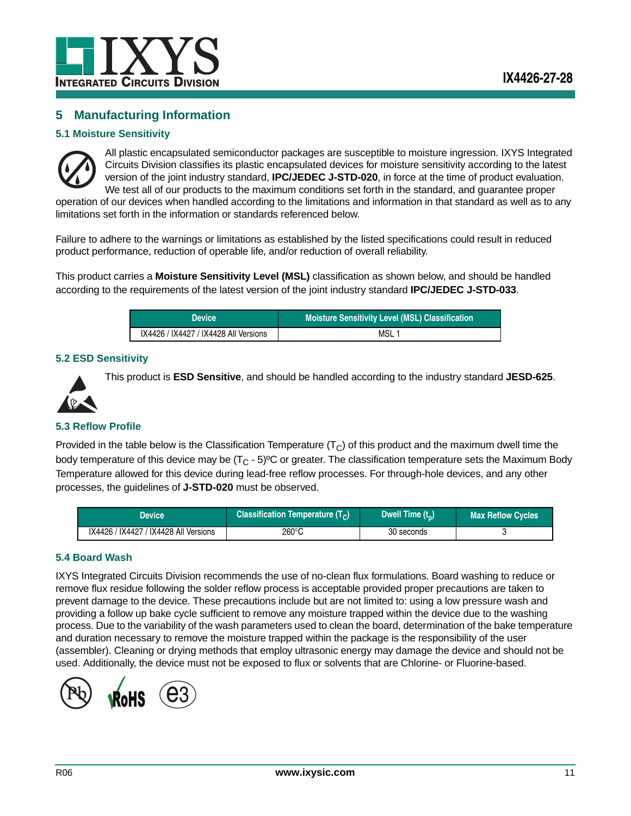

## <span id="page-10-0"></span>**5 Manufacturing Information**

#### <span id="page-10-1"></span>**5.1 Moisture Sensitivity**



All plastic encapsulated semiconductor packages are susceptible to moisture ingression. IXYS Integrated Circuits Division classifies its plastic encapsulated devices for moisture sensitivity according to the latest version of the joint industry standard, **IPC/JEDEC J-STD-020**, in force at the time of product evaluation. We test all of our products to the maximum conditions set forth in the standard, and quarantee proper operation of our devices when handled according to the limitations and information in that standard as well as to any

limitations set forth in the information or standards referenced below.

Failure to adhere to the warnings or limitations as established by the listed specifications could result in reduced product performance, reduction of operable life, and/or reduction of overall reliability.

This product carries a **Moisture Sensitivity Level (MSL)** classification as shown below, and should be handled according to the requirements of the latest version of the joint industry standard **IPC/JEDEC J-STD-033**.

| <b>Device</b>                         | Moisture Sensitivity Level (MSL) Classification |
|---------------------------------------|-------------------------------------------------|
| IX4426 / IX4427 / IX4428 All Versions | MSL 1                                           |

#### <span id="page-10-2"></span>**5.2 ESD Sensitivity**



This product is **ESD Sensitive**, and should be handled according to the industry standard **JESD-625**.

#### <span id="page-10-3"></span>**5.3 Reflow Profile**

Provided in the table below is the Classification Temperature  $(T<sub>C</sub>)$  of this product and the maximum dwell time the body temperature of this device may be  $(T<sub>C</sub> - 5)$ <sup>o</sup>C or greater. The classification temperature sets the Maximum Body Temperature allowed for this device during lead-free reflow processes. For through-hole devices, and any other processes, the guidelines of **J-STD-020** must be observed.

| Device                                | <b>Classification Temperature <math>(T_C)</math></b> | Dwell Time $(t_n)$ | <b>Max Reflow Cycles</b> |
|---------------------------------------|------------------------------------------------------|--------------------|--------------------------|
| IX4426 / IX4427 / IX4428 All Versions | 260°C                                                | 30 seconds         |                          |

#### <span id="page-10-4"></span>**5.4 Board Wash**

IXYS Integrated Circuits Division recommends the use of no-clean flux formulations. Board washing to reduce or remove flux residue following the solder reflow process is acceptable provided proper precautions are taken to prevent damage to the device. These precautions include but are not limited to: using a low pressure wash and providing a follow up bake cycle sufficient to remove any moisture trapped within the device due to the washing process. Due to the variability of the wash parameters used to clean the board, determination of the bake temperature and duration necessary to remove the moisture trapped within the package is the responsibility of the user (assembler). Cleaning or drying methods that employ ultrasonic energy may damage the device and should not be used. Additionally, the device must not be exposed to flux or solvents that are Chlorine- or Fluorine-based.

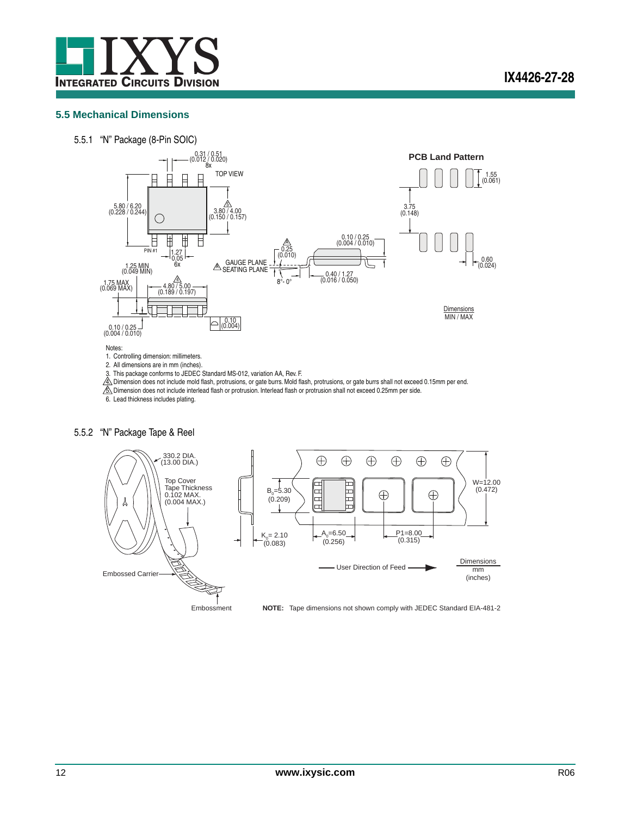

#### <span id="page-11-0"></span>**5.5 Mechanical Dimensions**





1. Controlling dimension: millimeters. 2. All dimensions are in mm (inches).

3. This package conforms to JEDEC Standard MS-012, variation AA, Rev. F.

4. Dimension does not include mold flash, protrusions, or gate burrs. Mold flash, protrusions, or gate burrs shall not exceed 0.15mm per end.  $6.$  Dimension does not include interlead flash or protrusion. Interlead flash or protrusion shall not exceed 0.25mm per side.

6. Lead thickness includes plating.

#### 5.5.2 "N" Package Tape & Reel



Embossment **NOTE:** Tape dimensions not shown comply with JEDEC Standard EIA-481-2